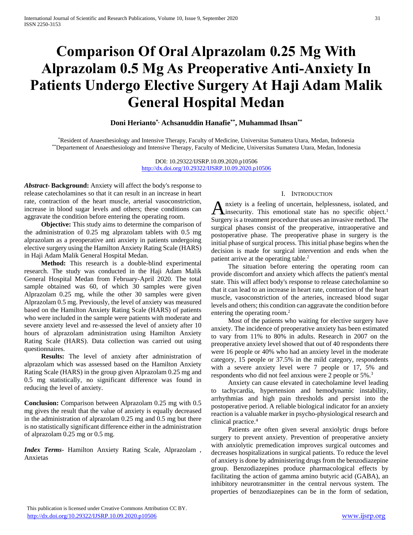# **Comparison Of Oral Alprazolam 0.25 Mg With Alprazolam 0.5 Mg As Preoperative Anti-Anxiety In Patients Undergo Elective Surgery At Haji Adam Malik General Hospital Medan**

# **Doni Herianto\*, Achsanuddin Hanafie\*\*, Muhammad Ihsan\*\***

\*Resident of Anaesthesiology and Intensive Therapy, Faculty of Medicine, Universitas Sumatera Utara, Medan, Indonesia \*\*Departement of Anaesthesiology and Intensive Therapy, Faculty of Medicine, Universitas Sumatera Utara, Medan, Indonesia

> DOI: 10.29322/IJSRP.10.09.2020.p10506 <http://dx.doi.org/10.29322/IJSRP.10.09.2020.p10506>

*Abstract***- Background:** Anxiety will affect the body's response to release catecholamines so that it can result in an increase in heart rate, contraction of the heart muscle, arterial vasoconstriction, increase in blood sugar levels and others; these conditions can aggravate the condition before entering the operating room.

 **Objective:** This study aims to determine the comparison of the administration of 0.25 mg alprazolam tablets with 0.5 mg alprazolam as a preoperative anti anxiety in patients undergoing elective surgery using the Hamilton Anxiety Rating Scale (HARS) in Haji Adam Malik General Hospital Medan.

 **Method:** This research is a double-blind experimental research. The study was conducted in the Haji Adam Malik General Hospital Medan from February-April 2020. The total sample obtained was 60, of which 30 samples were given Alprazolam 0.25 mg, while the other 30 samples were given Alprazolam 0.5 mg. Previously, the level of anxiety was measured based on the Hamilton Anxiety Rating Scale (HARS) of patients who were included in the sample were patients with moderate and severe anxiety level and re-assessed the level of anxiety after 10 hours of alprazolam administration using Hamilton Anxiety Rating Scale (HARS). Data collection was carried out using questionnaires.

 **Results:** The level of anxiety after administration of alprazolam which was assessed based on the Hamilton Anxiety Rating Scale (HARS) in the group given Alprazolam 0.25 mg and 0.5 mg statistically, no significant difference was found in reducing the level of anxiety.

**Conclusion:** Comparison between Alprazolam 0.25 mg with 0.5 mg gives the result that the value of anxiety is equally decreased in the administration of alprazolam 0.25 mg and 0.5 mg but there is no statistically significant difference either in the administration of alprazolam 0.25 mg or 0.5 mg.

*Index Terms*- Hamilton Anxiety Rating Scale, Alprazolam , Anxietas

#### I. INTRODUCTION

nxiety is a feeling of uncertain, helplessness, isolated, and A nxiety is a feeling of uncertain, helplessness, isolated, and<br>
ansumed in this emotional state has no specific object.<sup>1</sup> Surgery is a treatment procedure that uses an invasive method. The surgical phases consist of the preoperative, intraoperative and postoperative phase. The preoperative phase in surgery is the initial phase of surgical process. This initial phase begins when the decision is made for surgical intervention and ends when the patient arrive at the operating table.<sup>2</sup>

 The situation before entering the operating room can provide discomfort and anxiety which affects the patient's mental state. This will affect body's response to release catecholamine so that it can lead to an increase in heart rate, contraction of the heart muscle, vasoconstriction of the arteries, increased blood sugar levels and others; this condition can aggravate the condition before entering the operating room.<sup>2</sup>

 Most of the patients who waiting for elective surgery have anxiety. The incidence of preoperative anxiety has been estimated to vary from 11% to 80% in adults. Research in 2007 on the preoperative anxiety level showed that out of 40 respondents there were 16 people or 40% who had an anxiety level in the moderate category, 15 people or 37.5% in the mild category, respondents with a severe anxiety level were 7 people or 17, 5% and respondents who did not feel anxious were 2 people or 5%.<sup>3</sup>

 Anxiety can cause elevated in catecholamine level leading to tachycardia, hypertension and hemodynamic instability, arrhythmias and high pain thresholds and persist into the postoperative period. A reliable biological indicator for an anxiety reaction is a valuable marker in psycho-physiological research and clinical practice.<sup>4</sup>

 Patients are often given several anxiolytic drugs before surgery to prevent anxiety. Prevention of preoperative anxiety with anxiolytic premedication improves surgical outcomes and decreases hospitalizations in surgical patients. To reduce the level of anxiety is done by administering drugs from the benzodiazepine group. Benzodiazepines produce pharmacological effects by facilitating the action of gamma amino butyric acid (GABA), an inhibitory neurotransmitter in the central nervous system. The properties of benzodiazepines can be in the form of sedation,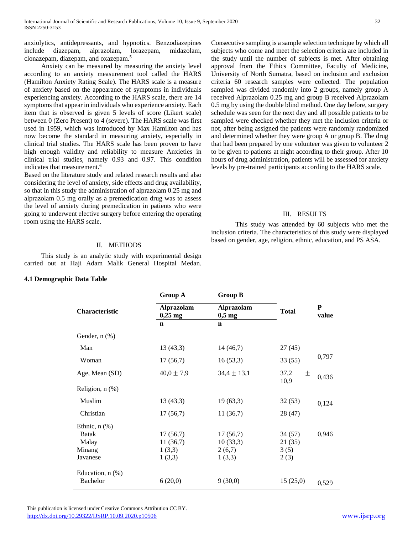anxiolytics, antidepressants, and hypnotics. Benzodiazepines include diazepam, alprazolam, lorazepam, midazolam, clonazepam, diazepam, and oxazepam.<sup>5</sup>

 Anxiety can be measured by measuring the anxiety level according to an anxiety measurement tool called the HARS (Hamilton Anxiety Rating Scale). The HARS scale is a measure of anxiety based on the appearance of symptoms in individuals experiencing anxiety. According to the HARS scale, there are 14 symptoms that appear in individuals who experience anxiety. Each item that is observed is given 5 levels of score (Likert scale) between 0 (Zero Present) to 4 (severe). The HARS scale was first used in 1959, which was introduced by Max Hamilton and has now become the standard in measuring anxiety, especially in clinical trial studies. The HARS scale has been proven to have high enough validity and reliability to measure Anxieties in clinical trial studies, namely 0.93 and 0.97. This condition indicates that measurement.<sup>6</sup>

Based on the literature study and related research results and also considering the level of anxiety, side effects and drug availability, so that in this study the administration of alprazolam 0.25 mg and alprazolam 0.5 mg orally as a premedication drug was to assess the level of anxiety during premedication in patients who were going to underwent elective surgery before entering the operating room using the HARS scale.

Consecutive sampling is a sample selection technique by which all subjects who come and meet the selection criteria are included in the study until the number of subjects is met. After obtaining approval from the Ethics Committee, Faculty of Medicine, University of North Sumatra, based on inclusion and exclusion criteria 60 research samples were collected. The population sampled was divided randomly into 2 groups, namely group A received Alprazolam 0.25 mg and group B received Alprazolam 0.5 mg by using the double blind method. One day before, surgery schedule was seen for the next day and all possible patients to be sampled were checked whether they met the inclusion criteria or not, after being assigned the patients were randomly randomized and determined whether they were group A or group B. The drug that had been prepared by one volunteer was given to volunteer 2 to be given to patients at night according to their group. After 10 hours of drug administration, patients will be assessed for anxiety levels by pre-trained participants according to the HARS scale.

#### III. RESULTS

This study was attended by 60 subjects who met the inclusion criteria. The characteristics of this study were displayed based on gender, age, religion, ethnic, education, and PS ASA.

## II. METHODS

 This study is an analytic study with experimental design carried out at Haji Adam Malik General Hospital Medan.

| 4.1 Demographic Data Table |  |
|----------------------------|--|
|----------------------------|--|

|                       | Group A                        | <b>Group B</b>                |                   |                    |  |
|-----------------------|--------------------------------|-------------------------------|-------------------|--------------------|--|
| <b>Characteristic</b> | <b>Alprazolam</b><br>$0,25$ mg | <b>Alprazolam</b><br>$0,5$ mg | <b>Total</b>      | ${\bf P}$<br>value |  |
|                       | $\mathbf n$                    | $\mathbf n$                   |                   |                    |  |
| Gender, n (%)         |                                |                               |                   |                    |  |
| Man                   | 13(43,3)                       | 14(46,7)                      | 27 (45)           |                    |  |
| Woman                 | 17(56,7)                       | 16(53,3)                      | 33(55)            | 0,797              |  |
| Age, Mean (SD)        | $40,0 \pm 7,9$                 | $34,4 \pm 13,1$               | 37,2<br>土<br>10,9 | 0,436              |  |
| Religion, $n$ $%$ )   |                                |                               |                   |                    |  |
| Muslim                | 13(43,3)                       | 19(63,3)                      | 32(53)            | 0,124              |  |
| Christian             | 17(56,7)                       | 11(36,7)                      | 28 (47)           |                    |  |
| Ethnic, $n$ $(\%)$    |                                |                               |                   |                    |  |
| <b>Batak</b>          | 17(56,7)                       | 17(56,7)                      | 34(57)            | 0,946              |  |
| Malay                 | 11(36,7)                       | 10(33,3)                      | 21(35)            |                    |  |
| Minang                | 1(3,3)                         | 2(6,7)                        | 3(5)              |                    |  |
| Javanese              | 1(3,3)                         | 1(3,3)                        | 2(3)              |                    |  |
| Education, $n$ $%$ )  |                                |                               |                   |                    |  |
| Bachelor              | 6(20,0)                        | 9(30,0)                       | 15(25,0)          | 0,529              |  |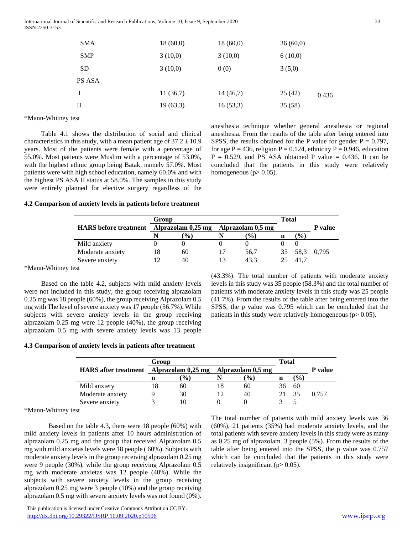International Journal of Scientific and Research Publications, Volume 10, Issue 9, September 2020 33 ISSN 2250-3153

| <b>SMA</b>    | 18(60,0) | 18(60,0) | 36(60,0) |       |
|---------------|----------|----------|----------|-------|
| <b>SMP</b>    | 3(10,0)  | 3(10,0)  | 6(10,0)  |       |
| SD.           | 3(10,0)  | 0(0)     | 3(5,0)   |       |
| <b>PS ASA</b> |          |          |          |       |
| I             | 11(36,7) | 14(46,7) | 25(42)   | 0.436 |
| П             | 19(63,3) | 16(53,3) | 35(58)   |       |
|               |          |          |          |       |

\*Mann-Whitney test

 Table 4.1 shows the distribution of social and clinical characteristics in this study, with a mean patient age of  $37.2 \pm 10.9$ years. Most of the patients were female with a percentage of 55.0%. Most patients were Muslim with a percentage of 53.0%, with the highest ethnic group being Batak, namely 57.0%. Most patients were with high school education, namely 60.0% and with the highest PS ASA II status at 58.0%. The samples in this study were entirely planned for elective surgery regardless of the anesthesia technique whether general anesthesia or regional anesthesia. From the results of the table after being entered into SPSS, the results obtained for the P value for gender  $P = 0.797$ , for age P = 436, religion P = 0.124, ethnicity P = 0.946, education  $P = 0.529$ , and PS ASA obtained P value = 0.436. It can be concluded that the patients in this study were relatively homogeneous ( $p > 0.05$ ).

### **4.2 Comparison of anxiety levels in patients before treatment**

|                              | Group              |           |                   |               | <b>Total</b> |                  |         |
|------------------------------|--------------------|-----------|-------------------|---------------|--------------|------------------|---------|
| <b>HARS</b> before treatment | Alprazolam 0,25 mg |           | Alprazolam 0,5 mg |               |              |                  | P value |
|                              |                    | $($ % $)$ |                   | $\frac{9}{0}$ | n            | $\mathcal{O}(6)$ |         |
| Mild anxiety                 |                    |           |                   |               |              |                  |         |
| Moderate anxiety             | 18                 | 60        |                   | 56,7          | 35           | 58.3             | 0.795   |
| Severe anxiety               |                    | 40        |                   | 43.3          |              | 41.7             |         |

\*Mann-Whitney test

 Based on the table 4.2, subjects with mild anxiety levels were not included in this study, the group receiving alprazolam 0.25 mg was 18 people (60%), the group receiving Alprazolam 0.5 mg with The level of severe anxiety was 17 people (56.7%). While subjects with severe anxiety levels in the group receiving alprazolam 0.25 mg were 12 people (40%), the group receiving alprazolam 0.5 mg with severe anxiety levels was 13 people (43.3%). The total number of patients with moderate anxiety levels in this study was 35 people (58.3%) and the total number of patients with moderate anxiety levels in this study was 25 people (41.7%). From the results of the table after being entered into the SPSS, the p value was 0.795 which can be concluded that the patients in this study were relatively homogeneous  $(p > 0.05)$ .

#### **4.3 Comparison of anxiety levels in patients after treatment**

|                                         |                  | Group |                  |                   |                 | <b>Total</b> |                  |         |
|-----------------------------------------|------------------|-------|------------------|-------------------|-----------------|--------------|------------------|---------|
| HARS after treatment Alprazolam 0,25 mg |                  |       |                  | Alprazolam 0,5 mg |                 |              |                  | P value |
|                                         |                  | n     | $\mathcal{O}(6)$ |                   | $\mathcal{O}_0$ | n            | $\mathcal{O}(6)$ |         |
|                                         | Mild anxiety     |       | 60               |                   | 60              | 36           | 60               |         |
|                                         | Moderate anxiety |       | 30               |                   | 40              |              | -35              | 0.757   |
|                                         | Severe anxiety   |       |                  |                   |                 |              |                  |         |

\*Mann-Whitney test

Based on the table 4.3, there were 18 people (60%) with mild anxiety levels in patients after 10 hours administration of alprazolam 0.25 mg and the group that received Alprazolam 0.5 mg with mild anxietas levels were 18 people ( 60%). Subjects with moderate anxiety levels in the group receiving alprazolam 0.25 mg were 9 people (30%), while the group receiving Alprazolam 0.5 mg with moderate anxietas was 12 people (40%). While the subjects with severe anxiety levels in the group receiving alprazolam 0.25 mg were 3 people (10%) and the group receiving alprazolam 0.5 mg with severe anxiety levels was not found (0%). The total number of patients with mild anxiety levels was 36 (60%), 21 patients (35%) had moderate anxiety levels, and the total patients with severe anxiety levels in this study were as many as 0.25 mg of alprazolam. 3 people (5%). From the results of the table after being entered into the SPSS, the p value was 0.757 which can be concluded that the patients in this study were relatively insignificant ( $p$  > 0.05).

This publication is licensed under Creative Commons Attribution CC BY. <http://dx.doi.org/10.29322/IJSRP.10.09.2020.p10506> [www.ijsrp.org](http://ijsrp.org/)